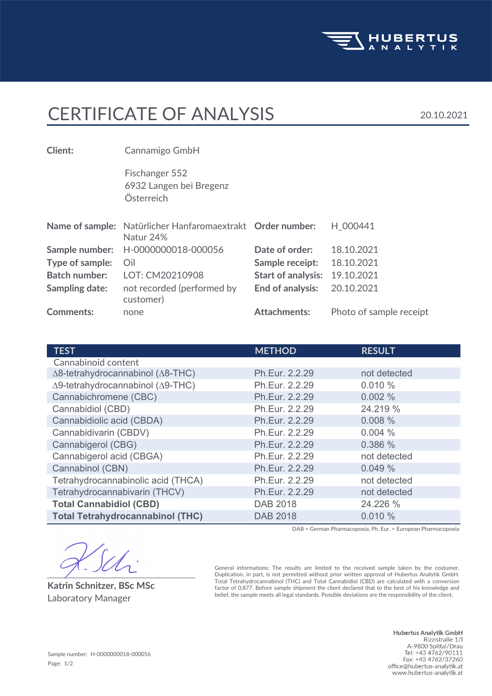

## CERTIFICATE OF ANALYSIS 20.10.2021

Österreich 6932 Langen bei Bregenz Fischanger 552 **Client:** Cannamigo GmbH **Comments:** none **Attachments:** Photo of sample receipt not recorded (performed by **End of analysis:** 20.10.2021 customer) **Sampling date: Batch number:** LOT: CM20210908 **Start of analysis:** 19.10.2021 **Type of sample:** Oil **Sample receipt:** 18.10.2021 **Sample number:** H-0000000018-000056 **Date of order:** 18.10.2021 Name of sample: Natürlicher Hanfaromaextrakt Order number: H\_000441 Natur 24%

| <b>TEST</b>                                       | <b>METHOD</b>   | <b>RESULT</b> |
|---------------------------------------------------|-----------------|---------------|
| Cannabinoid content                               |                 |               |
| $\Delta$ 8-tetrahydrocannabinol ( $\Delta$ 8-THC) | Ph.Eur. 2.2.29  | not detected  |
| Δ9-tetrahydrocannabinol (Δ9-THC)                  | Ph.Eur. 2.2.29  | 0.010%        |
| Cannabichromene (CBC)                             | Ph.Eur. 2.2.29  | 0.002%        |
| Cannabidiol (CBD)                                 | Ph.Eur. 2.2.29  | 24.219 %      |
| Cannabidiolic acid (CBDA)                         | Ph.Eur. 2.2.29  | 0.008%        |
| Cannabidivarin (CBDV)                             | Ph.Eur. 2.2.29  | 0.004%        |
| Cannabigerol (CBG)                                | Ph.Eur. 2.2.29  | 0.386 %       |
| Cannabigerol acid (CBGA)                          | Ph.Eur. 2.2.29  | not detected  |
| Cannabinol (CBN)                                  | Ph.Eur. 2.2.29  | 0.049%        |
| Tetrahydrocannabinolic acid (THCA)                | Ph.Eur. 2.2.29  | not detected  |
| Tetrahydrocannabivarin (THCV)                     | Ph.Eur. 2.2.29  | not detected  |
| <b>Total Cannabidiol (CBD)</b>                    | DAB 2018        | 24.226 %      |
| <b>Total Tetrahydrocannabinol (THC)</b>           | <b>DAB 2018</b> | 0.010%        |

DAB = German Pharmacopoeia, Ph. Eur. = European Pharmacopoeia

**Katrin Schnitzer, BSc MSc**

General informations: The results are limited to the received sample taken by the costumer. Duplication, in part, is not permitted without prior written approval of Hubertus Analytik GmbH. Total Tetrahydrocannabinol (THC) and Total Cannabidiol (CBD) are calculated with a conversion factor of 0,877. Before sample shipment the client declared that to the best of his knowledge and Laboratory Manager belief, the sample meets all legal standards. Possible deviations are the responsibility of the client.